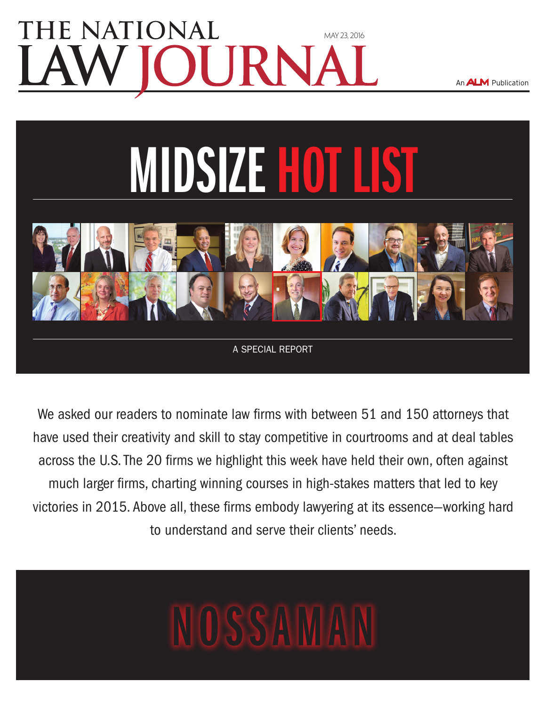### **TE NATIONAL** [may 23, 2016](www.nlj.com)

An **ALM** Publication



A special report

We asked our readers to nominate law firms with between 51 and 150 attorneys that have used their creativity and skill to stay competitive in courtrooms and at deal tables across the U.S. The 20 firms we highlight this week have held their own, often against much larger firms, charting winning courses in high-stakes matters that led to key victories in 2015. Above all, these firms embody lawyering at its essence—working hard to understand and serve their clients' needs.

# Nossaman